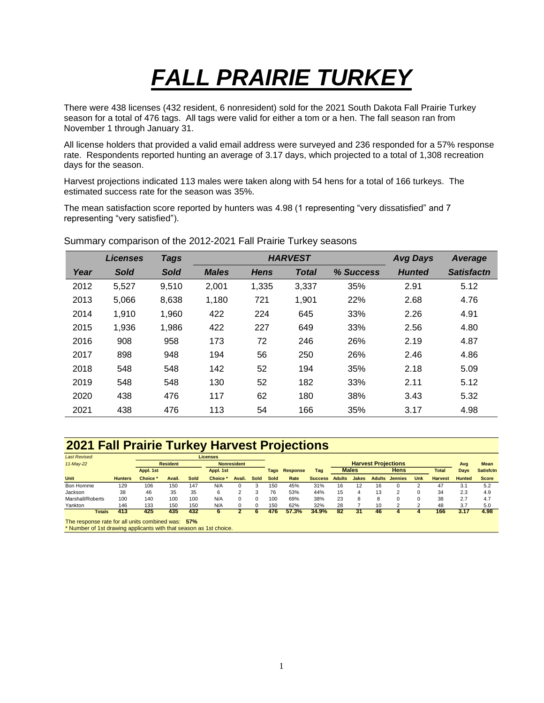## *FALL PRAIRIE TURKEY*

There were 438 licenses (432 resident, 6 nonresident) sold for the 2021 South Dakota Fall Prairie Turkey season for a total of 476 tags. All tags were valid for either a tom or a hen. The fall season ran from November 1 through January 31.

All license holders that provided a valid email address were surveyed and 236 responded for a 57% response rate. Respondents reported hunting an average of 3.17 days, which projected to a total of 1,308 recreation days for the season.

Harvest projections indicated 113 males were taken along with 54 hens for a total of 166 turkeys. The estimated success rate for the season was 35%.

The mean satisfaction score reported by hunters was 4.98 (1 representing "very dissatisfied" and 7 representing "very satisfied").

|      | <b>Licenses</b> | <b>Tags</b> |              | <b>HARVEST</b> | <b>Avg Days</b> | <b>Average</b> |               |                   |
|------|-----------------|-------------|--------------|----------------|-----------------|----------------|---------------|-------------------|
| Year | <b>Sold</b>     | <b>Sold</b> | <b>Males</b> | <b>Hens</b>    | <b>Total</b>    | % Success      | <b>Hunted</b> | <b>Satisfactn</b> |
| 2012 | 5,527           | 9,510       | 2,001        | 1,335          | 3,337           | 35%            | 2.91          | 5.12              |
| 2013 | 5,066           | 8,638       | 1,180        | 721            | 1,901           | 22%            | 2.68          | 4.76              |
| 2014 | 1,910           | 1,960       | 422          | 224            | 645             | 33%            | 2.26          | 4.91              |
| 2015 | 1,936           | 1,986       | 422          | 227            | 649             | 33%            | 2.56          | 4.80              |
| 2016 | 908             | 958         | 173          | 72             | 246             | 26%            | 2.19          | 4.87              |
| 2017 | 898             | 948         | 194          | 56             | 250             | 26%            | 2.46          | 4.86              |
| 2018 | 548             | 548         | 142          | 52             | 194             | 35%            | 2.18          | 5.09              |
| 2019 | 548             | 548         | 130          | 52             | 182             | 33%            | 2.11          | 5.12              |
| 2020 | 438             | 476         | 117          | 62             | 180             | 38%            | 3.43          | 5.32              |
| 2021 | 438             | 476         | 113          | 54             | 166             | 35%            | 3.17          | 4.98              |

Summary comparison of the 2012-2021 Fall Prairie Turkey seasons

## **2021 Fall Prairie Turkey Harvest Projections**

| <b>Last Revised:</b> |                | <b>Licenses</b> |        |           |                    |        |                 |             |              |                            |               |       |               |                |      |                  |               |              |
|----------------------|----------------|-----------------|--------|-----------|--------------------|--------|-----------------|-------------|--------------|----------------------------|---------------|-------|---------------|----------------|------|------------------|---------------|--------------|
| 11-May-22            |                | <b>Resident</b> |        |           | <b>Nonresident</b> |        |                 |             |              | <b>Harvest Projections</b> |               |       |               |                | Avg  | Mean             |               |              |
|                      |                | Appl. 1st       |        | Appl. 1st |                    | Tags   | <b>Response</b> | Tag         | <b>Males</b> |                            | <b>Hens</b>   |       |               | <b>Total</b>   | Days | <b>Satisfctn</b> |               |              |
| <b>Unit</b>          | <b>Hunters</b> | Choice *        | Avail. | Sold      | <b>Choice</b>      | Avail. | Sold            | <b>Sold</b> | Rate         | <b>Success</b>             | <b>Adults</b> | Jakes | <b>Adults</b> | <b>Jennies</b> | Unk  | <b>Harvest</b>   | <b>Hunted</b> | <b>Score</b> |
| Bon Homme            | 129            | 106             | 150    | 147       | N/A                | O      |                 | 150         | 45%          | 31%                        | 16            | 12    | 16            |                |      | 47               | 3.1           | 5.2          |
| Jackson              | 38             | 46              | 35     | 35        | 6                  |        |                 | 76          | 53%          | 44%                        | 15            | 4     | 13            |                |      | 34               | 2.3           | 4.9          |
| Marshall/Roberts     | 100            | 140             | 100    | 100       | N/A                | 0      |                 | 100         | 69%          | 38%                        | 23            | 8     |               |                |      | 38               | 2.7           | 4.7          |
| Yankton              | 146            | 133             | 150    | 150       | N/A                |        |                 | 150         | 62%          | 32%                        | 28            |       | 10            |                |      | 48               | 3.7           | 5.0          |
| <b>Totals</b>        | 413            | 425             | 435    | 432       |                    |        |                 | 476         | 57.3%        | 34.9%                      | 82            | 31    | 46            |                |      | 166              | 3.17          | 4.98         |

The response rate for all units combined was: **57%**

\* Number of 1st drawing applicants with that season as 1st choice.